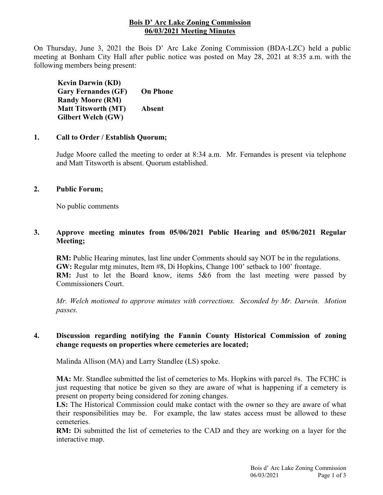### **Bois D' Arc Lake Zoning Commission 06/03/2021 Meeting Minutes**

On Thursday, June 3, 2021 the Bois D' Arc Lake Zoning Commission (BDA-LZC) held a public meeting at Bonham City Hall after public notice was posted on May 28, 2021 at 8:35 a.m. with the following members being present:

**Kevin Darwin (KD) Gary Fernandes (GF) Randy Moore (RM) Matt Titsworth (MT) Gilbert Welch (GW) On Phone Absent**

#### **1. Call to Order / Establish Quorum;**

Judge Moore called the meeting to order at 8:34 a.m. Mr. Fernandes is present via telephone and Matt Titsworth is absent. Quorum established.

### **2. Public Forum;**

No public comments

## **3. Approve meeting minutes from 05/06/2021 Public Hearing and 05/06/2021 Regular Meeting;**

**RM:** Public Hearing minutes, last line under Comments should say NOT be in the regulations. **GW:** Regular mtg minutes, Item #8, Di Hopkins, Change 100' setback to 100' frontage. **RM:** Just to let the Board know, items 5&6 from the last meeting were passed by Commissioners Court.

*Mr. Welch motioned to approve minutes with corrections. Seconded by Mr. Darwin. Motion passes.*

### **4. Discussion regarding notifying the Fannin County Historical Commission of zoning change requests on properties where cemeteries are located;**

Malinda Allison (MA) and Larry Standlee (LS) spoke.

**MA:** Mr. Standlee submitted the list of cemeteries to Ms. Hopkins with parcel #s. The FCHC is just requesting that notice be given so they are aware of what is happening if a cemetery is present on property being considered for zoning changes.

**LS:** The Historical Commission could make contact with the owner so they are aware of what their responsibilities may be. For example, the law states access must be allowed to these cemeteries.

**RM:** Di submitted the list of cemeteries to the CAD and they are working on a layer for the interactive map.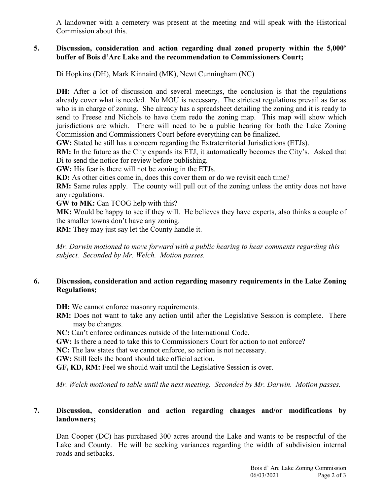A landowner with a cemetery was present at the meeting and will speak with the Historical Commission about this.

### **5. Discussion, consideration and action regarding dual zoned property within the 5,000' buffer of Bois d'Arc Lake and the recommendation to Commissioners Court;**

Di Hopkins (DH), Mark Kinnaird (MK), Newt Cunningham (NC)

**DH:** After a lot of discussion and several meetings, the conclusion is that the regulations already cover what is needed. No MOU is necessary. The strictest regulations prevail as far as who is in charge of zoning. She already has a spreadsheet detailing the zoning and it is ready to send to Freese and Nichols to have them redo the zoning map. This map will show which jurisdictions are which. There will need to be a public hearing for both the Lake Zoning Commission and Commissioners Court before everything can be finalized.

**GW:** Stated he still has a concern regarding the Extraterritorial Jurisdictions (ETJs).

**RM:** In the future as the City expands its ETJ, it automatically becomes the City's. Asked that Di to send the notice for review before publishing.

**GW:** His fear is there will not be zoning in the ETJs.

**KD:** As other cities come in, does this cover them or do we revisit each time?

**RM:** Same rules apply. The county will pull out of the zoning unless the entity does not have any regulations.

**GW to MK:** Can TCOG help with this?

**MK:** Would be happy to see if they will. He believes they have experts, also thinks a couple of the smaller towns don't have any zoning.

**RM:** They may just say let the County handle it.

*Mr. Darwin motioned to move forward with a public hearing to hear comments regarding this subject. Seconded by Mr. Welch. Motion passes.*

# **6. Discussion, consideration and action regarding masonry requirements in the Lake Zoning Regulations;**

- **DH:** We cannot enforce masonry requirements.
- **RM:** Does not want to take any action until after the Legislative Session is complete. There may be changes.

**NC:** Can't enforce ordinances outside of the International Code.

**GW:** Is there a need to take this to Commissioners Court for action to not enforce?

**NC:** The law states that we cannot enforce, so action is not necessary.

**GW:** Still feels the board should take official action.

**GF, KD, RM:** Feel we should wait until the Legislative Session is over.

*Mr. Welch motioned to table until the next meeting. Seconded by Mr. Darwin. Motion passes.*

## **7. Discussion, consideration and action regarding changes and/or modifications by landowners;**

Dan Cooper (DC) has purchased 300 acres around the Lake and wants to be respectful of the Lake and County. He will be seeking variances regarding the width of subdivision internal roads and setbacks.